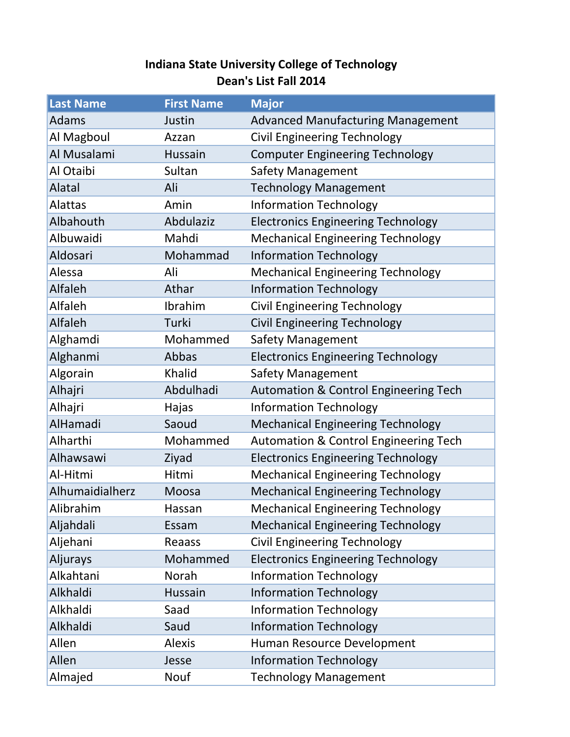## **Indiana State University College of Technology Dean's List Fall 2014**

| <b>Last Name</b> | <b>First Name</b> | <b>Major</b>                                     |
|------------------|-------------------|--------------------------------------------------|
| Adams            | Justin            | <b>Advanced Manufacturing Management</b>         |
| Al Magboul       | Azzan             | <b>Civil Engineering Technology</b>              |
| Al Musalami      | <b>Hussain</b>    | <b>Computer Engineering Technology</b>           |
| Al Otaibi        | Sultan            | Safety Management                                |
| Alatal           | Ali               | <b>Technology Management</b>                     |
| <b>Alattas</b>   | Amin              | <b>Information Technology</b>                    |
| Albahouth        | Abdulaziz         | <b>Electronics Engineering Technology</b>        |
| Albuwaidi        | Mahdi             | <b>Mechanical Engineering Technology</b>         |
| Aldosari         | Mohammad          | <b>Information Technology</b>                    |
| Alessa           | Ali               | <b>Mechanical Engineering Technology</b>         |
| Alfaleh          | Athar             | <b>Information Technology</b>                    |
| Alfaleh          | Ibrahim           | <b>Civil Engineering Technology</b>              |
| Alfaleh          | Turki             | <b>Civil Engineering Technology</b>              |
| Alghamdi         | Mohammed          | <b>Safety Management</b>                         |
| Alghanmi         | Abbas             | <b>Electronics Engineering Technology</b>        |
| Algorain         | Khalid            | <b>Safety Management</b>                         |
| Alhajri          | Abdulhadi         | <b>Automation &amp; Control Engineering Tech</b> |
| Alhajri          | Hajas             | <b>Information Technology</b>                    |
| AlHamadi         | Saoud             | <b>Mechanical Engineering Technology</b>         |
| Alharthi         | Mohammed          | <b>Automation &amp; Control Engineering Tech</b> |
| Alhawsawi        | Ziyad             | <b>Electronics Engineering Technology</b>        |
| Al-Hitmi         | Hitmi             | <b>Mechanical Engineering Technology</b>         |
| Alhumaidialherz  | Moosa             | <b>Mechanical Engineering Technology</b>         |
| Alibrahim        | Hassan            | <b>Mechanical Engineering Technology</b>         |
| Aljahdali        | Essam             | <b>Mechanical Engineering Technology</b>         |
| Aljehani         | Reaass            | <b>Civil Engineering Technology</b>              |
| Aljurays         | Mohammed          | <b>Electronics Engineering Technology</b>        |
| Alkahtani        | Norah             | <b>Information Technology</b>                    |
| Alkhaldi         | Hussain           | <b>Information Technology</b>                    |
| Alkhaldi         | Saad              | <b>Information Technology</b>                    |
| Alkhaldi         | Saud              | <b>Information Technology</b>                    |
| Allen            | <b>Alexis</b>     | Human Resource Development                       |
| Allen            | Jesse             | <b>Information Technology</b>                    |
| Almajed          | Nouf              | <b>Technology Management</b>                     |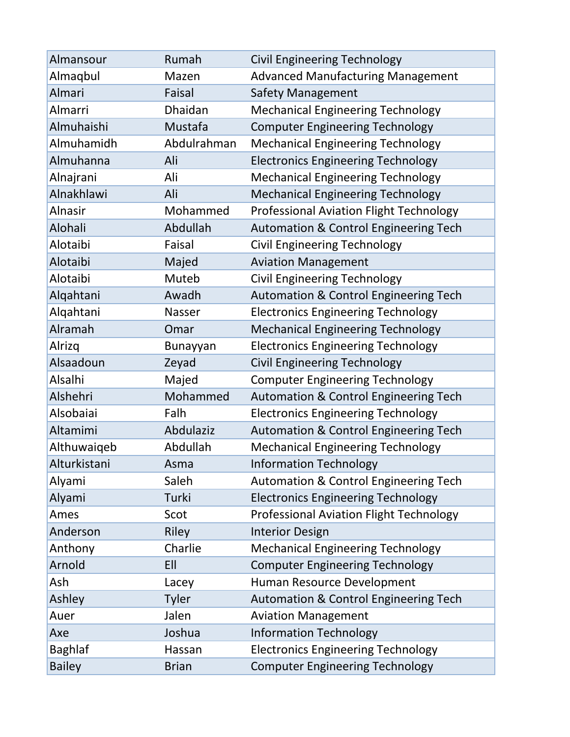| Almansour      | Rumah        | <b>Civil Engineering Technology</b>              |
|----------------|--------------|--------------------------------------------------|
| Almaqbul       | Mazen        | <b>Advanced Manufacturing Management</b>         |
| Almari         | Faisal       | <b>Safety Management</b>                         |
| Almarri        | Dhaidan      | <b>Mechanical Engineering Technology</b>         |
| Almuhaishi     | Mustafa      | <b>Computer Engineering Technology</b>           |
| Almuhamidh     | Abdulrahman  | <b>Mechanical Engineering Technology</b>         |
| Almuhanna      | Ali          | <b>Electronics Engineering Technology</b>        |
| Alnajrani      | Ali          | <b>Mechanical Engineering Technology</b>         |
| Alnakhlawi     | Ali          | <b>Mechanical Engineering Technology</b>         |
| <b>Alnasir</b> | Mohammed     | <b>Professional Aviation Flight Technology</b>   |
| <b>Alohali</b> | Abdullah     | <b>Automation &amp; Control Engineering Tech</b> |
| Alotaibi       | Faisal       | <b>Civil Engineering Technology</b>              |
| Alotaibi       | Majed        | <b>Aviation Management</b>                       |
| Alotaibi       | Muteb        | <b>Civil Engineering Technology</b>              |
| Alqahtani      | Awadh        | <b>Automation &amp; Control Engineering Tech</b> |
| Alqahtani      | Nasser       | <b>Electronics Engineering Technology</b>        |
| Alramah        | Omar         | <b>Mechanical Engineering Technology</b>         |
| Alrizq         | Bunayyan     | <b>Electronics Engineering Technology</b>        |
| Alsaadoun      | Zeyad        | <b>Civil Engineering Technology</b>              |
| Alsalhi        | Majed        | <b>Computer Engineering Technology</b>           |
| Alshehri       | Mohammed     | <b>Automation &amp; Control Engineering Tech</b> |
| Alsobaiai      | Falh         | <b>Electronics Engineering Technology</b>        |
| Altamimi       | Abdulaziz    | <b>Automation &amp; Control Engineering Tech</b> |
| Althuwaiqeb    | Abdullah     | <b>Mechanical Engineering Technology</b>         |
| Alturkistani   | Asma         | <b>Information Technology</b>                    |
| Alyami         | Saleh        | Automation & Control Engineering Tech            |
| Alyami         | Turki        | <b>Electronics Engineering Technology</b>        |
| Ames           | Scot         | <b>Professional Aviation Flight Technology</b>   |
| Anderson       | <b>Riley</b> | <b>Interior Design</b>                           |
| Anthony        | Charlie      | <b>Mechanical Engineering Technology</b>         |
| Arnold         | EII          | <b>Computer Engineering Technology</b>           |
| Ash            | Lacey        | Human Resource Development                       |
| Ashley         | <b>Tyler</b> | <b>Automation &amp; Control Engineering Tech</b> |
| Auer           | Jalen        | <b>Aviation Management</b>                       |
| Axe            | Joshua       | <b>Information Technology</b>                    |
| Baghlaf        | Hassan       | <b>Electronics Engineering Technology</b>        |
| <b>Bailey</b>  | <b>Brian</b> | <b>Computer Engineering Technology</b>           |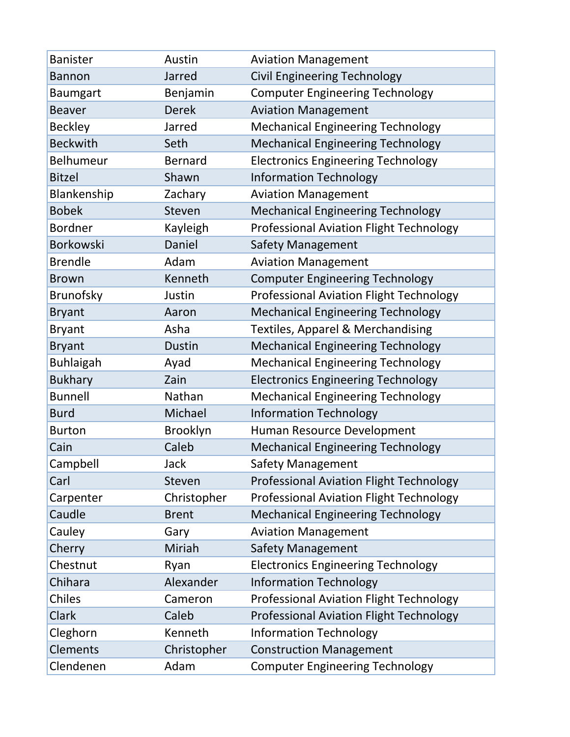| <b>Banister</b>  | Austin         | <b>Aviation Management</b>                     |
|------------------|----------------|------------------------------------------------|
| <b>Bannon</b>    | Jarred         | <b>Civil Engineering Technology</b>            |
| <b>Baumgart</b>  | Benjamin       | <b>Computer Engineering Technology</b>         |
| <b>Beaver</b>    | <b>Derek</b>   | <b>Aviation Management</b>                     |
| <b>Beckley</b>   | Jarred         | <b>Mechanical Engineering Technology</b>       |
| <b>Beckwith</b>  | Seth           | <b>Mechanical Engineering Technology</b>       |
| <b>Belhumeur</b> | <b>Bernard</b> | <b>Electronics Engineering Technology</b>      |
| <b>Bitzel</b>    | Shawn          | <b>Information Technology</b>                  |
| Blankenship      | Zachary        | <b>Aviation Management</b>                     |
| <b>Bobek</b>     | Steven         | <b>Mechanical Engineering Technology</b>       |
| <b>Bordner</b>   | Kayleigh       | <b>Professional Aviation Flight Technology</b> |
| <b>Borkowski</b> | Daniel         | Safety Management                              |
| <b>Brendle</b>   | Adam           | <b>Aviation Management</b>                     |
| <b>Brown</b>     | Kenneth        | <b>Computer Engineering Technology</b>         |
| <b>Brunofsky</b> | Justin         | <b>Professional Aviation Flight Technology</b> |
| <b>Bryant</b>    | Aaron          | <b>Mechanical Engineering Technology</b>       |
| <b>Bryant</b>    | Asha           | <b>Textiles, Apparel &amp; Merchandising</b>   |
| <b>Bryant</b>    | Dustin         | <b>Mechanical Engineering Technology</b>       |
| <b>Buhlaigah</b> | Ayad           | <b>Mechanical Engineering Technology</b>       |
| <b>Bukhary</b>   | Zain           | <b>Electronics Engineering Technology</b>      |
| <b>Bunnell</b>   | Nathan         | <b>Mechanical Engineering Technology</b>       |
| <b>Burd</b>      | Michael        | <b>Information Technology</b>                  |
| <b>Burton</b>    | Brooklyn       | Human Resource Development                     |
| Cain             | Caleb          | <b>Mechanical Engineering Technology</b>       |
| Campbell         | Jack           | Safety Management                              |
| Carl             | Steven         | <b>Professional Aviation Flight Technology</b> |
| Carpenter        | Christopher    | <b>Professional Aviation Flight Technology</b> |
| Caudle           | <b>Brent</b>   | <b>Mechanical Engineering Technology</b>       |
| Cauley           | Gary           | <b>Aviation Management</b>                     |
| Cherry           | Miriah         | <b>Safety Management</b>                       |
| Chestnut         | Ryan           | <b>Electronics Engineering Technology</b>      |
| Chihara          | Alexander      | <b>Information Technology</b>                  |
| Chiles           | Cameron        | <b>Professional Aviation Flight Technology</b> |
| Clark            | Caleb          | <b>Professional Aviation Flight Technology</b> |
| Cleghorn         | Kenneth        | <b>Information Technology</b>                  |
| Clements         | Christopher    | <b>Construction Management</b>                 |
| Clendenen        | Adam           | <b>Computer Engineering Technology</b>         |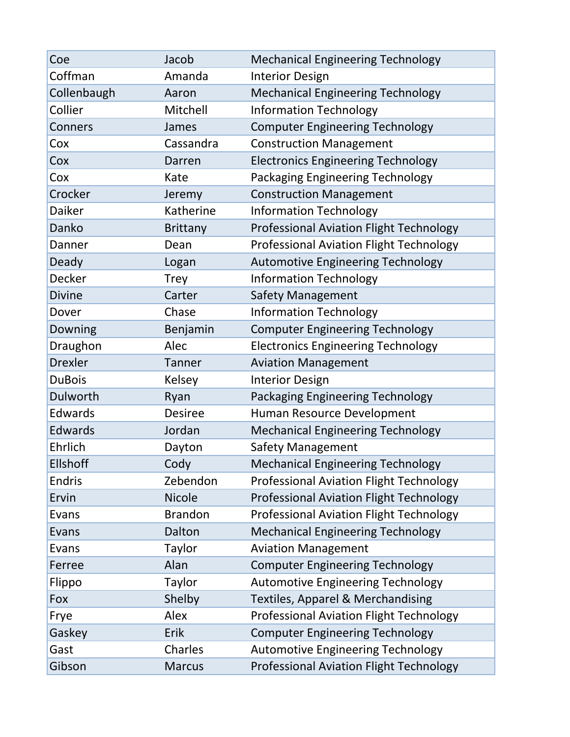| Coe             | Jacob           | <b>Mechanical Engineering Technology</b>       |
|-----------------|-----------------|------------------------------------------------|
| Coffman         | Amanda          | <b>Interior Design</b>                         |
| Collenbaugh     | Aaron           | <b>Mechanical Engineering Technology</b>       |
| Collier         | Mitchell        | <b>Information Technology</b>                  |
| Conners         | James           | <b>Computer Engineering Technology</b>         |
| Cox             | Cassandra       | <b>Construction Management</b>                 |
| Cox             | Darren          | <b>Electronics Engineering Technology</b>      |
| Cox             | Kate            | <b>Packaging Engineering Technology</b>        |
| Crocker         | Jeremy          | <b>Construction Management</b>                 |
| Daiker          | Katherine       | <b>Information Technology</b>                  |
| Danko           | <b>Brittany</b> | <b>Professional Aviation Flight Technology</b> |
| Danner          | Dean            | <b>Professional Aviation Flight Technology</b> |
| Deady           | Logan           | <b>Automotive Engineering Technology</b>       |
| Decker          | <b>Trey</b>     | <b>Information Technology</b>                  |
| <b>Divine</b>   | Carter          | <b>Safety Management</b>                       |
| Dover           | Chase           | <b>Information Technology</b>                  |
| Downing         | Benjamin        | <b>Computer Engineering Technology</b>         |
| Draughon        | Alec            | <b>Electronics Engineering Technology</b>      |
| <b>Drexler</b>  | Tanner          | <b>Aviation Management</b>                     |
| <b>DuBois</b>   | Kelsey          | <b>Interior Design</b>                         |
| Dulworth        | Ryan            | Packaging Engineering Technology               |
| Edwards         | <b>Desiree</b>  | Human Resource Development                     |
| Edwards         | Jordan          | <b>Mechanical Engineering Technology</b>       |
| Ehrlich         | Dayton          | Safety Management                              |
| <b>Ellshoff</b> | Cody            | <b>Mechanical Engineering Technology</b>       |
| Endris          | Zebendon        | <b>Professional Aviation Flight Technology</b> |
| Ervin           | <b>Nicole</b>   | <b>Professional Aviation Flight Technology</b> |
| Evans           | <b>Brandon</b>  | Professional Aviation Flight Technology        |
| Evans           | Dalton          | <b>Mechanical Engineering Technology</b>       |
| Evans           | Taylor          | <b>Aviation Management</b>                     |
| Ferree          | Alan            | <b>Computer Engineering Technology</b>         |
| Flippo          | <b>Taylor</b>   | <b>Automotive Engineering Technology</b>       |
| Fox             | Shelby          | Textiles, Apparel & Merchandising              |
| Frye            | Alex            | Professional Aviation Flight Technology        |
| Gaskey          | Erik            | <b>Computer Engineering Technology</b>         |
| Gast            | Charles         | <b>Automotive Engineering Technology</b>       |
| Gibson          | <b>Marcus</b>   | <b>Professional Aviation Flight Technology</b> |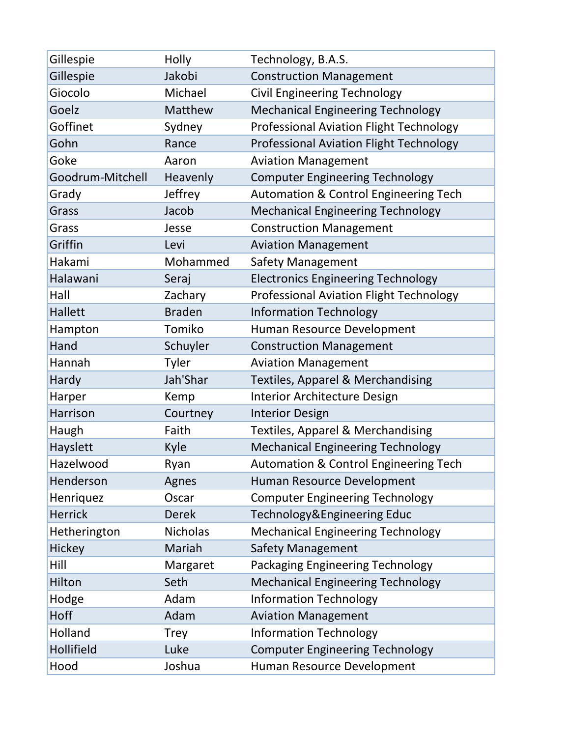| Gillespie        | Holly           | Technology, B.A.S.                               |
|------------------|-----------------|--------------------------------------------------|
| Gillespie        | Jakobi          | <b>Construction Management</b>                   |
| Giocolo          | Michael         | <b>Civil Engineering Technology</b>              |
| Goelz            | Matthew         | <b>Mechanical Engineering Technology</b>         |
| Goffinet         | Sydney          | <b>Professional Aviation Flight Technology</b>   |
| Gohn             | Rance           | <b>Professional Aviation Flight Technology</b>   |
| Goke             | Aaron           | <b>Aviation Management</b>                       |
| Goodrum-Mitchell | Heavenly        | <b>Computer Engineering Technology</b>           |
| Grady            | Jeffrey         | <b>Automation &amp; Control Engineering Tech</b> |
| Grass            | Jacob           | <b>Mechanical Engineering Technology</b>         |
| Grass            | Jesse           | <b>Construction Management</b>                   |
| Griffin          | Levi            | <b>Aviation Management</b>                       |
| Hakami           | Mohammed        | <b>Safety Management</b>                         |
| Halawani         | Seraj           | <b>Electronics Engineering Technology</b>        |
| Hall             | Zachary         | <b>Professional Aviation Flight Technology</b>   |
| Hallett          | <b>Braden</b>   | <b>Information Technology</b>                    |
| Hampton          | Tomiko          | Human Resource Development                       |
| Hand             | Schuyler        | <b>Construction Management</b>                   |
| Hannah           | Tyler           | <b>Aviation Management</b>                       |
| Hardy            | Jah'Shar        | <b>Textiles, Apparel &amp; Merchandising</b>     |
| Harper           | Kemp            | Interior Architecture Design                     |
| Harrison         | Courtney        | <b>Interior Design</b>                           |
| Haugh            | Faith           | <b>Textiles, Apparel &amp; Merchandising</b>     |
| Hayslett         | Kyle            | <b>Mechanical Engineering Technology</b>         |
| Hazelwood        | Ryan            | Automation & Control Engineering Tech            |
| Henderson        | Agnes           | Human Resource Development                       |
| Henriquez        | Oscar           | <b>Computer Engineering Technology</b>           |
| <b>Herrick</b>   | <b>Derek</b>    | Technology&Engineering Educ                      |
| Hetherington     | <b>Nicholas</b> | <b>Mechanical Engineering Technology</b>         |
| Hickey           | Mariah          | <b>Safety Management</b>                         |
| Hill             | Margaret        | Packaging Engineering Technology                 |
| Hilton           | Seth            | <b>Mechanical Engineering Technology</b>         |
| Hodge            | Adam            | <b>Information Technology</b>                    |
| Hoff             | Adam            | <b>Aviation Management</b>                       |
| Holland          | <b>Trey</b>     | <b>Information Technology</b>                    |
| Hollifield       | Luke            | <b>Computer Engineering Technology</b>           |
| Hood             | Joshua          | Human Resource Development                       |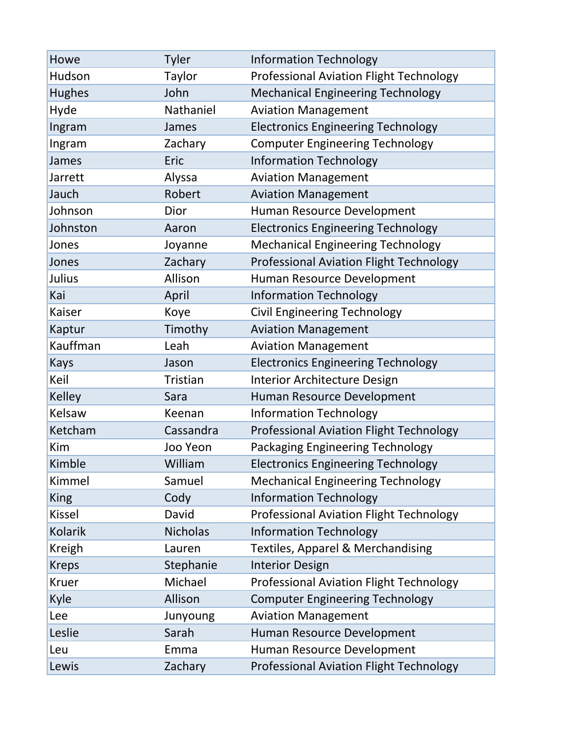| Howe           | Tyler           | <b>Information Technology</b>                  |
|----------------|-----------------|------------------------------------------------|
| Hudson         | Taylor          | <b>Professional Aviation Flight Technology</b> |
| <b>Hughes</b>  | John            | <b>Mechanical Engineering Technology</b>       |
| Hyde           | Nathaniel       | <b>Aviation Management</b>                     |
| Ingram         | James           | <b>Electronics Engineering Technology</b>      |
| Ingram         | Zachary         | <b>Computer Engineering Technology</b>         |
| James          | Eric            | <b>Information Technology</b>                  |
| Jarrett        | Alyssa          | <b>Aviation Management</b>                     |
| Jauch          | Robert          | <b>Aviation Management</b>                     |
| Johnson        | Dior            | Human Resource Development                     |
| Johnston       | Aaron           | <b>Electronics Engineering Technology</b>      |
| Jones          | Joyanne         | <b>Mechanical Engineering Technology</b>       |
| Jones          | Zachary         | <b>Professional Aviation Flight Technology</b> |
| Julius         | Allison         | Human Resource Development                     |
| Kai            | April           | <b>Information Technology</b>                  |
| Kaiser         | Koye            | <b>Civil Engineering Technology</b>            |
| Kaptur         | Timothy         | <b>Aviation Management</b>                     |
| Kauffman       | Leah            | <b>Aviation Management</b>                     |
| <b>Kays</b>    | Jason           | <b>Electronics Engineering Technology</b>      |
| Keil           | Tristian        | Interior Architecture Design                   |
| <b>Kelley</b>  | Sara            | Human Resource Development                     |
| Kelsaw         | Keenan          | <b>Information Technology</b>                  |
| Ketcham        | Cassandra       | <b>Professional Aviation Flight Technology</b> |
| Kim            | Joo Yeon        | Packaging Engineering Technology               |
| Kimble         | William         | <b>Electronics Engineering Technology</b>      |
| Kimmel         | Samuel          | <b>Mechanical Engineering Technology</b>       |
| <b>King</b>    | Cody            | <b>Information Technology</b>                  |
| <b>Kissel</b>  | David           | <b>Professional Aviation Flight Technology</b> |
| <b>Kolarik</b> | <b>Nicholas</b> | <b>Information Technology</b>                  |
| <b>Kreigh</b>  | Lauren          | Textiles, Apparel & Merchandising              |
| <b>Kreps</b>   | Stephanie       | <b>Interior Design</b>                         |
| <b>Kruer</b>   | Michael         | <b>Professional Aviation Flight Technology</b> |
| Kyle           | Allison         | <b>Computer Engineering Technology</b>         |
| Lee            | Junyoung        | <b>Aviation Management</b>                     |
| Leslie         | Sarah           | Human Resource Development                     |
| Leu            | Emma            | Human Resource Development                     |
| Lewis          | Zachary         | <b>Professional Aviation Flight Technology</b> |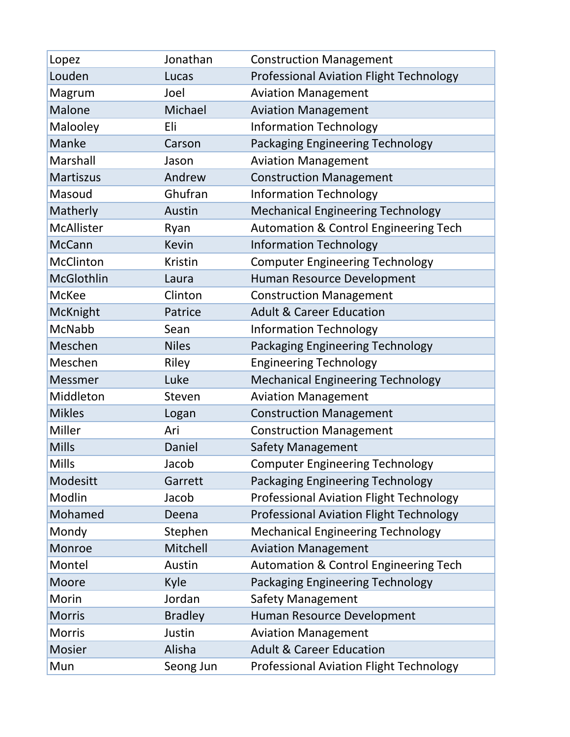| Lopez             | Jonathan       | <b>Construction Management</b>                   |
|-------------------|----------------|--------------------------------------------------|
| Louden            | Lucas          | <b>Professional Aviation Flight Technology</b>   |
| Magrum            | Joel           | <b>Aviation Management</b>                       |
| <b>Malone</b>     | Michael        | <b>Aviation Management</b>                       |
| Malooley          | Eli            | <b>Information Technology</b>                    |
| <b>Manke</b>      | Carson         | <b>Packaging Engineering Technology</b>          |
| Marshall          | Jason          | <b>Aviation Management</b>                       |
| <b>Martiszus</b>  | Andrew         | <b>Construction Management</b>                   |
| Masoud            | Ghufran        | <b>Information Technology</b>                    |
| Matherly          | Austin         | <b>Mechanical Engineering Technology</b>         |
| <b>McAllister</b> | Ryan           | <b>Automation &amp; Control Engineering Tech</b> |
| <b>McCann</b>     | <b>Kevin</b>   | <b>Information Technology</b>                    |
| McClinton         | <b>Kristin</b> | <b>Computer Engineering Technology</b>           |
| McGlothlin        | Laura          | Human Resource Development                       |
| McKee             | Clinton        | <b>Construction Management</b>                   |
| McKnight          | Patrice        | <b>Adult &amp; Career Education</b>              |
| McNabb            | Sean           | <b>Information Technology</b>                    |
| Meschen           | <b>Niles</b>   | Packaging Engineering Technology                 |
| Meschen           | Riley          | <b>Engineering Technology</b>                    |
| <b>Messmer</b>    | Luke           | <b>Mechanical Engineering Technology</b>         |
| Middleton         | Steven         | <b>Aviation Management</b>                       |
| <b>Mikles</b>     | Logan          | <b>Construction Management</b>                   |
| Miller            | Ari            | <b>Construction Management</b>                   |
| <b>Mills</b>      | Daniel         | <b>Safety Management</b>                         |
| Mills             | Jacob          | <b>Computer Engineering Technology</b>           |
| Modesitt          | Garrett        | Packaging Engineering Technology                 |
| Modlin            | Jacob          | <b>Professional Aviation Flight Technology</b>   |
| Mohamed           | Deena          | <b>Professional Aviation Flight Technology</b>   |
| Mondy             | Stephen        | <b>Mechanical Engineering Technology</b>         |
| Monroe            | Mitchell       | <b>Aviation Management</b>                       |
| Montel            | Austin         | <b>Automation &amp; Control Engineering Tech</b> |
| Moore             | Kyle           | Packaging Engineering Technology                 |
| Morin             | Jordan         | <b>Safety Management</b>                         |
| <b>Morris</b>     | <b>Bradley</b> | Human Resource Development                       |
| <b>Morris</b>     | Justin         | <b>Aviation Management</b>                       |
| <b>Mosier</b>     | Alisha         | <b>Adult &amp; Career Education</b>              |
| Mun               | Seong Jun      | <b>Professional Aviation Flight Technology</b>   |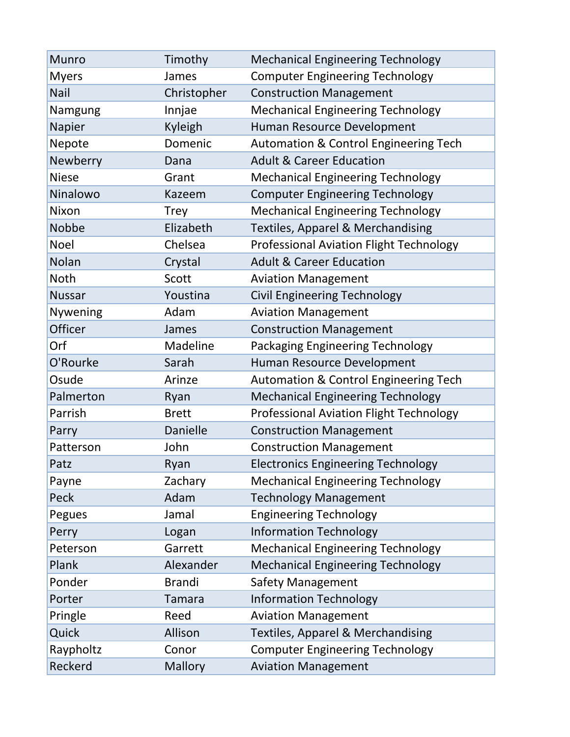| <b>Munro</b>  | Timothy         | <b>Mechanical Engineering Technology</b>         |
|---------------|-----------------|--------------------------------------------------|
| <b>Myers</b>  | James           | <b>Computer Engineering Technology</b>           |
| Nail          | Christopher     | <b>Construction Management</b>                   |
| Namgung       | Innjae          | <b>Mechanical Engineering Technology</b>         |
| Napier        | Kyleigh         | Human Resource Development                       |
| Nepote        | Domenic         | <b>Automation &amp; Control Engineering Tech</b> |
| Newberry      | Dana            | <b>Adult &amp; Career Education</b>              |
| <b>Niese</b>  | Grant           | <b>Mechanical Engineering Technology</b>         |
| Ninalowo      | Kazeem          | <b>Computer Engineering Technology</b>           |
| Nixon         | <b>Trey</b>     | <b>Mechanical Engineering Technology</b>         |
| Nobbe         | Elizabeth       | Textiles, Apparel & Merchandising                |
| <b>Noel</b>   | Chelsea         | <b>Professional Aviation Flight Technology</b>   |
| Nolan         | Crystal         | <b>Adult &amp; Career Education</b>              |
| <b>Noth</b>   | Scott           | <b>Aviation Management</b>                       |
| <b>Nussar</b> | Youstina        | <b>Civil Engineering Technology</b>              |
| Nywening      | Adam            | <b>Aviation Management</b>                       |
| Officer       | James           | <b>Construction Management</b>                   |
| Orf           | Madeline        | Packaging Engineering Technology                 |
| O'Rourke      | Sarah           | Human Resource Development                       |
| Osude         | Arinze          | <b>Automation &amp; Control Engineering Tech</b> |
| Palmerton     | Ryan            | <b>Mechanical Engineering Technology</b>         |
| Parrish       | <b>Brett</b>    | <b>Professional Aviation Flight Technology</b>   |
| Parry         | <b>Danielle</b> | <b>Construction Management</b>                   |
| Patterson     | John            | <b>Construction Management</b>                   |
| Patz          | Ryan            | <b>Electronics Engineering Technology</b>        |
| Payne         | Zachary         | <b>Mechanical Engineering Technology</b>         |
| Peck          | Adam            | <b>Technology Management</b>                     |
| Pegues        | Jamal           | <b>Engineering Technology</b>                    |
| Perry         | Logan           | <b>Information Technology</b>                    |
| Peterson      | Garrett         | <b>Mechanical Engineering Technology</b>         |
| Plank         | Alexander       | <b>Mechanical Engineering Technology</b>         |
| Ponder        | <b>Brandi</b>   | <b>Safety Management</b>                         |
| Porter        | <b>Tamara</b>   | <b>Information Technology</b>                    |
| Pringle       | Reed            | <b>Aviation Management</b>                       |
| Quick         | Allison         | <b>Textiles, Apparel &amp; Merchandising</b>     |
| Raypholtz     | Conor           | <b>Computer Engineering Technology</b>           |
| Reckerd       | <b>Mallory</b>  | <b>Aviation Management</b>                       |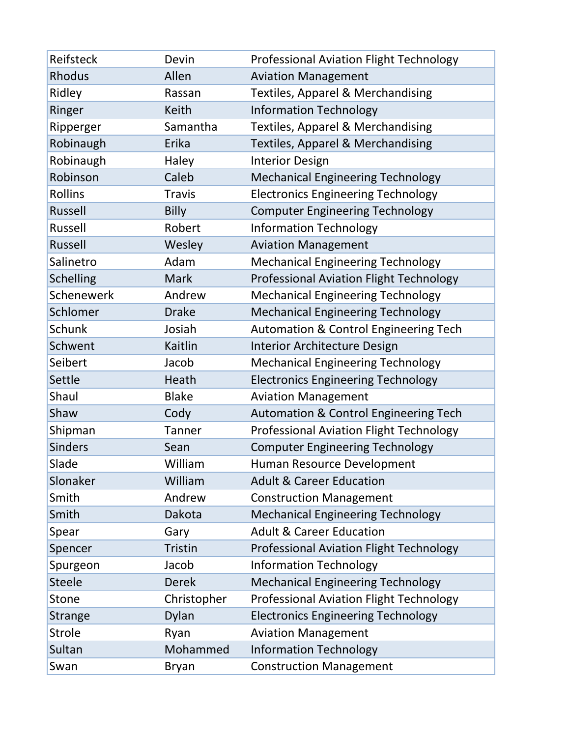| Reifsteck        | Devin          | <b>Professional Aviation Flight Technology</b>   |
|------------------|----------------|--------------------------------------------------|
| <b>Rhodus</b>    | Allen          | <b>Aviation Management</b>                       |
| Ridley           | Rassan         | <b>Textiles, Apparel &amp; Merchandising</b>     |
| Ringer           | <b>Keith</b>   | <b>Information Technology</b>                    |
| Ripperger        | Samantha       | <b>Textiles, Apparel &amp; Merchandising</b>     |
| Robinaugh        | Erika          | Textiles, Apparel & Merchandising                |
| Robinaugh        | Haley          | <b>Interior Design</b>                           |
| Robinson         | Caleb          | <b>Mechanical Engineering Technology</b>         |
| <b>Rollins</b>   | <b>Travis</b>  | <b>Electronics Engineering Technology</b>        |
| <b>Russell</b>   | <b>Billy</b>   | <b>Computer Engineering Technology</b>           |
| Russell          | Robert         | <b>Information Technology</b>                    |
| <b>Russell</b>   | Wesley         | <b>Aviation Management</b>                       |
| Salinetro        | Adam           | <b>Mechanical Engineering Technology</b>         |
| <b>Schelling</b> | <b>Mark</b>    | <b>Professional Aviation Flight Technology</b>   |
| Schenewerk       | Andrew         | <b>Mechanical Engineering Technology</b>         |
| Schlomer         | <b>Drake</b>   | <b>Mechanical Engineering Technology</b>         |
| Schunk           | Josiah         | <b>Automation &amp; Control Engineering Tech</b> |
| Schwent          | Kaitlin        | Interior Architecture Design                     |
| Seibert          | Jacob          | <b>Mechanical Engineering Technology</b>         |
| Settle           | Heath          | <b>Electronics Engineering Technology</b>        |
| Shaul            | <b>Blake</b>   | <b>Aviation Management</b>                       |
| Shaw             | Cody           | <b>Automation &amp; Control Engineering Tech</b> |
| Shipman          | <b>Tanner</b>  | <b>Professional Aviation Flight Technology</b>   |
| <b>Sinders</b>   | Sean           | <b>Computer Engineering Technology</b>           |
| Slade            | William        | Human Resource Development                       |
| Slonaker         | William        | <b>Adult &amp; Career Education</b>              |
| Smith            | Andrew         | <b>Construction Management</b>                   |
| Smith            | Dakota         | <b>Mechanical Engineering Technology</b>         |
| Spear            | Gary           | <b>Adult &amp; Career Education</b>              |
| Spencer          | <b>Tristin</b> | <b>Professional Aviation Flight Technology</b>   |
| Spurgeon         | Jacob          | <b>Information Technology</b>                    |
| <b>Steele</b>    | <b>Derek</b>   | <b>Mechanical Engineering Technology</b>         |
| Stone            | Christopher    | <b>Professional Aviation Flight Technology</b>   |
| <b>Strange</b>   | Dylan          | <b>Electronics Engineering Technology</b>        |
| <b>Strole</b>    | Ryan           | <b>Aviation Management</b>                       |
| Sultan           | Mohammed       | <b>Information Technology</b>                    |
| Swan             | <b>Bryan</b>   | <b>Construction Management</b>                   |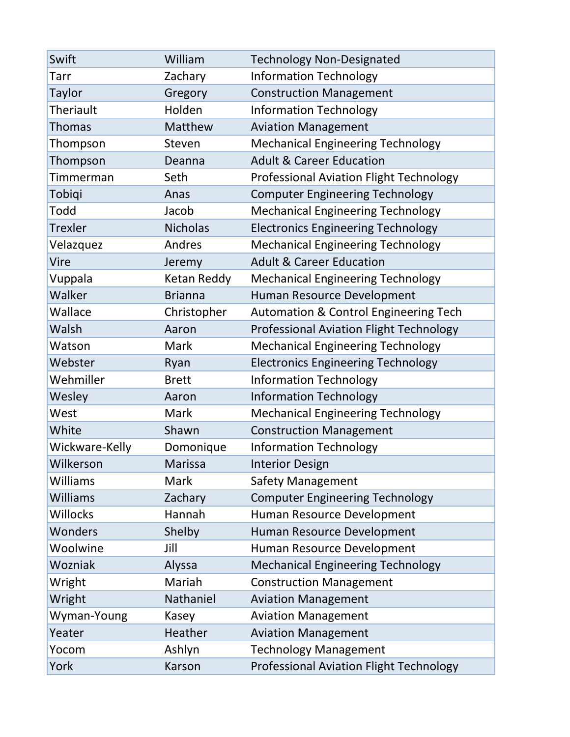| Swift           | William         | <b>Technology Non-Designated</b>                 |
|-----------------|-----------------|--------------------------------------------------|
| Tarr            | Zachary         | <b>Information Technology</b>                    |
| <b>Taylor</b>   | Gregory         | <b>Construction Management</b>                   |
| Theriault       | Holden          | <b>Information Technology</b>                    |
| <b>Thomas</b>   | Matthew         | <b>Aviation Management</b>                       |
| Thompson        | Steven          | <b>Mechanical Engineering Technology</b>         |
| Thompson        | Deanna          | <b>Adult &amp; Career Education</b>              |
| Timmerman       | Seth            | <b>Professional Aviation Flight Technology</b>   |
| Tobiqi          | Anas            | <b>Computer Engineering Technology</b>           |
| Todd            | Jacob           | <b>Mechanical Engineering Technology</b>         |
| <b>Trexler</b>  | <b>Nicholas</b> | <b>Electronics Engineering Technology</b>        |
| Velazquez       | Andres          | <b>Mechanical Engineering Technology</b>         |
| Vire            | Jeremy          | <b>Adult &amp; Career Education</b>              |
| Vuppala         | Ketan Reddy     | <b>Mechanical Engineering Technology</b>         |
| Walker          | <b>Brianna</b>  | Human Resource Development                       |
| Wallace         | Christopher     | <b>Automation &amp; Control Engineering Tech</b> |
| Walsh           | Aaron           | <b>Professional Aviation Flight Technology</b>   |
| Watson          | Mark            | <b>Mechanical Engineering Technology</b>         |
| Webster         | Ryan            | <b>Electronics Engineering Technology</b>        |
| Wehmiller       | <b>Brett</b>    | <b>Information Technology</b>                    |
| Wesley          | Aaron           | <b>Information Technology</b>                    |
| West            | Mark            | <b>Mechanical Engineering Technology</b>         |
| White           | Shawn           | <b>Construction Management</b>                   |
| Wickware-Kelly  | Domonique       | <b>Information Technology</b>                    |
| Wilkerson       | <b>Marissa</b>  | <b>Interior Design</b>                           |
| Williams        | Mark            | <b>Safety Management</b>                         |
| <b>Williams</b> | Zachary         | <b>Computer Engineering Technology</b>           |
| Willocks        | Hannah          | Human Resource Development                       |
| Wonders         | Shelby          | Human Resource Development                       |
| Woolwine        | Jill            | Human Resource Development                       |
| Wozniak         | Alyssa          | <b>Mechanical Engineering Technology</b>         |
| Wright          | Mariah          | <b>Construction Management</b>                   |
| Wright          | Nathaniel       | <b>Aviation Management</b>                       |
| Wyman-Young     | Kasey           | <b>Aviation Management</b>                       |
| Yeater          | Heather         | <b>Aviation Management</b>                       |
| Yocom           | Ashlyn          | <b>Technology Management</b>                     |
| York            | Karson          | Professional Aviation Flight Technology          |